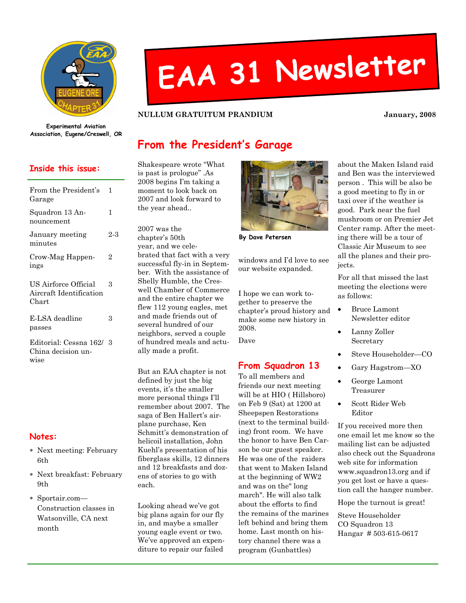

# EAA <sup>31</sup> Newsletter

NULLUM GRATUITUM PRANDIUM January, 2008

Experimental Aviation Association, Eugene/Creswell, OR

#### Inside this issue:

| From the President's<br>Garage                           | 1   |
|----------------------------------------------------------|-----|
| Squadron 13 An-<br>nouncement                            | 1   |
| January meeting<br>minutes                               | 2-3 |
| Crow-Mag Happen-<br>ings                                 | 2   |
| US Airforce Official<br>Aircraft Identification<br>Chart | 3   |
| E-LSA deadline<br>passes                                 | 3   |
| Editorial: Cessna 162/<br>China decision un-<br>wise     | -3  |

#### Notes:

- ∗ Next meeting: February 6th
- ∗ Next breakfast: February 9th
- ∗ Sportair.com— Construction classes in Watsonville, CA next month

## From the President's Garage

Shakespeare wrote "What is past is prologue" .As 2008 begins I'm taking a moment to look back on 2007 and look forward to the year ahead..

2007 was the chapter's 50th year, and we celebrated that fact with a very successful fly-in in September. With the assistance of Shelly Humble, the Creswell Chamber of Commerce and the entire chapter we flew 112 young eagles, met and made friends out of several hundred of our neighbors, served a couple of hundred meals and actually made a profit.

But an EAA chapter is not defined by just the big events, it's the smaller more personal things I'll remember about 2007. The saga of Ben Hallert's airplane purchase, Ken Schmitt's demonstration of helicoil installation, John Kuehl's presentation of his fiberglass skills, 12 dinners and 12 breakfasts and dozens of stories to go with each.

Looking ahead we've got big plans again for our fly in, and maybe a smaller young eagle event or two. We've approved an expenditure to repair our failed



By Dave Petersen

windows and I'd love to see our website expanded.

I hope we can work together to preserve the chapter's proud history and make some new history in 2008.

Dave

#### From Squadron 13

To all members and friends our next meeting will be at HIO ( Hillsboro) on Feb 9 (Sat) at 1200 at Sheepspen Restorations (next to the terminal building) front room. We have the honor to have Ben Carson be our guest speaker. He was one of the raiders that went to Maken Island at the beginning of WW2 and was on the" long march". He will also talk about the efforts to find the remains of the marines left behind and bring them home. Last month on history channel there was a program (Gunbattles)

about the Maken Island raid and Ben was the interviewed person . This will be also be a good meeting to fly in or taxi over if the weather is good. Park near the fuel mushroom or on Premier Jet Center ramp. After the meeting there will be a tour of Classic Air Museum to see all the planes and their projects.

For all that missed the last meeting the elections were as follows:

- Bruce Lamont Newsletter editor
- Lanny Zoller Secretary
- Steve Householder—CO
- Gary Hagstrom—XO
- George Lamont Treasurer
- Scott Rider Web Editor

If you received more then one email let me know so the mailing list can be adjusted also check out the Squadrons web site for information www.squadron13.org and if you get lost or have a question call the hanger number.

Hope the turnout is great!

Steve Householder CO Squadron 13 Hangar # 503-615-0617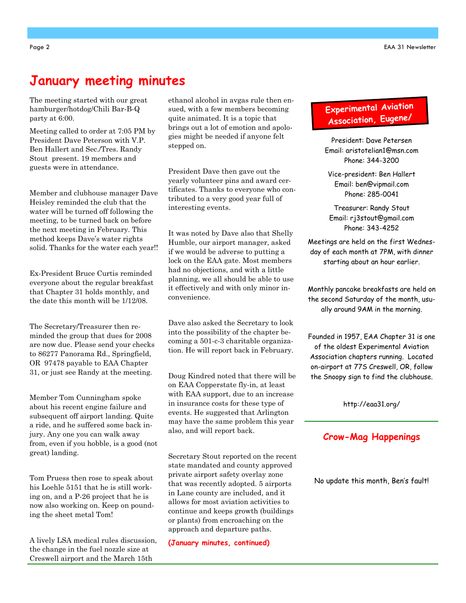#### January meeting minutes

The meeting started with our great hamburger/hotdog/Chili Bar-B-Q party at 6:00.

Meeting called to order at 7:05 PM by President Dave Peterson with V.P. Ben Hallert and Sec./Tres. Randy Stout present. 19 members and guests were in attendance.

Member and clubhouse manager Dave Heisley reminded the club that the water will be turned off following the meeting, to be turned back on before the next meeting in February. This method keeps Dave's water rights solid. Thanks for the water each year!!

Ex-President Bruce Curtis reminded everyone about the regular breakfast that Chapter 31 holds monthly, and the date this month will be 1/12/08.

The Secretary/Treasurer then reminded the group that dues for 2008 are now due. Please send your checks to 86277 Panorama Rd., Springfield, OR 97478 payable to EAA Chapter 31, or just see Randy at the meeting.

Member Tom Cunningham spoke about his recent engine failure and subsequent off airport landing. Quite a ride, and he suffered some back injury. Any one you can walk away from, even if you hobble, is a good (not great) landing.

Tom Pruess then rose to speak about his Loehle 5151 that he is still working on, and a P-26 project that he is now also working on. Keep on pounding the sheet metal Tom!

A lively LSA medical rules discussion, the change in the fuel nozzle size at Creswell airport and the March 15th

ethanol alcohol in avgas rule then ensued, with a few members becoming quite animated. It is a topic that brings out a lot of emotion and apologies might be needed if anyone felt stepped on.

President Dave then gave out the yearly volunteer pins and award certificates. Thanks to everyone who contributed to a very good year full of interesting events.

It was noted by Dave also that Shelly Humble, our airport manager, asked if we would be adverse to putting a lock on the EAA gate. Most members had no objections, and with a little planning, we all should be able to use it effectively and with only minor inconvenience.

Dave also asked the Secretary to look into the possibility of the chapter becoming a 501-c-3 charitable organization. He will report back in February.

Doug Kindred noted that there will be on EAA Copperstate fly-in, at least with EAA support, due to an increase in insurance costs for these type of events. He suggested that Arlington may have the same problem this year also, and will report back.

Secretary Stout reported on the recent state mandated and county approved private airport safety overlay zone that was recently adopted. 5 airports in Lane county are included, and it allows for most aviation activities to continue and keeps growth (buildings or plants) from encroaching on the approach and departure paths.

(January minutes, continued)

## Experimenta<sup>l</sup> Aviation Association, Eugene/

President: Dave Petersen Email: aristotelian1@msn.com Phone: 344-3200

Vice-president: Ben Hallert Email: ben@vipmail.com Phone: 285-0041

Treasurer: Randy Stout Email: rj3stout@gmail.com Phone: 343-4252

Meetings are held on the first Wednesday of each month at 7PM, with dinner starting about an hour earlier.

Monthly pancake breakfasts are held on the second Saturday of the month, usually around 9AM in the morning.

Founded in 1957, EAA Chapter 31 is one of the oldest Experimental Aviation Association chapters running. Located on-airport at 77S Creswell, OR, follow the Snoopy sign to find the clubhouse.

http://eaa31.org/

#### Crow-Mag Happenings

No update this month, Ben's fault!